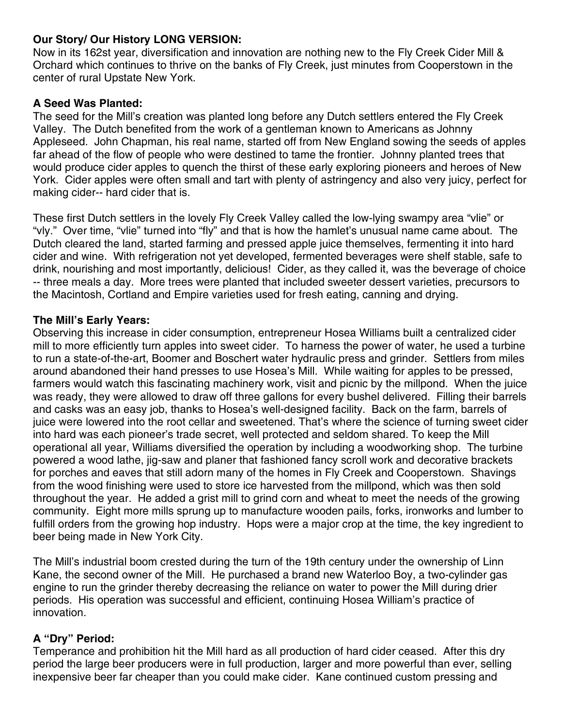### Our Story/ Our History LONG VERSION:

Now in its 162st year, diversification and innovation are nothing new to the Fly Creek Cider Mill & Orchard which continues to thrive on the banks of Fly Creek, just minutes from Cooperstown in the center of rural Upstate New York.

# **A Seed Was Planted:**

The seed for the Mill's creation was planted long before any Dutch settlers entered the Fly Creek Valley. The Dutch benefited from the work of a gentleman known to Americans as Johnny Appleseed. John Chapman, his real name, started off from New England sowing the seeds of apples far ahead of the flow of people who were destined to tame the frontier. Johnny planted trees that would produce cider apples to quench the thirst of these early exploring pioneers and heroes of New York. Cider apples were often small and tart with plenty of astringency and also very juicy, perfect for making cider-- hard cider that is.

These first Dutch settlers in the lovely Fly Creek Valley called the low-lying swampy area "vlie" or "vly." Over time, "vlie" turned into "fly" and that is how the hamlet's unusual name came about. The Dutch cleared the land, started farming and pressed apple juice themselves, fermenting it into hard cider and wine. With refrigeration not yet developed, fermented beverages were shelf stable, safe to drink, nourishing and most importantly, delicious! Cider, as they called it, was the beverage of choice -- three meals a day. More trees were planted that included sweeter dessert varieties, precursors to the Macintosh, Cortland and Empire varieties used for fresh eating, canning and drying.

# The Mill's Early Years:

Observing this increase in cider consumption, entrepreneur Hosea Williams built a centralized cider mill to more efficiently turn apples into sweet cider. To harness the power of water, he used a turbine to run a state-of-the-art, Boomer and Boschert water hydraulic press and grinder. Settlers from miles around abandoned their hand presses to use Hosea's Mill. While waiting for apples to be pressed, farmers would watch this fascinating machinery work, visit and picnic by the millpond. When the juice was ready, they were allowed to draw off three gallons for every bushel delivered. Filling their barrels and casks was an easy job, thanks to Hosea's well-designed facility. Back on the farm, barrels of juice were lowered into the root cellar and sweetened. That's where the science of turning sweet cider into hard was each pioneer's trade secret, well protected and seldom shared. To keep the Mill operational all year, Williams diversified the operation by including a woodworking shop. The turbine powered a wood lathe, jig-saw and planer that fashioned fancy scroll work and decorative brackets for porches and eaves that still adorn many of the homes in Fly Creek and Cooperstown. Shavings from the wood finishing were used to store ice harvested from the millpond, which was then sold throughout the year. He added a grist mill to grind corn and wheat to meet the needs of the growing community. Eight more mills sprung up to manufacture wooden pails, forks, ironworks and lumber to fulfill orders from the growing hop industry. Hops were a major crop at the time, the key ingredient to beer being made in New York City.

The Mill's industrial boom crested during the turn of the 19th century under the ownership of Linn Kane, the second owner of the Mill. He purchased a brand new Waterloo Boy, a two-cylinder gas engine to run the grinder thereby decreasing the reliance on water to power the Mill during drier periods. His operation was successful and efficient, continuing Hosea William's practice of innovation.

# A "Dry" Period:

Temperance and prohibition hit the Mill hard as all production of hard cider ceased. After this dry period the large beer producers were in full production, larger and more powerful than ever, selling inexpensive beer far cheaper than you could make cider. Kane continued custom pressing and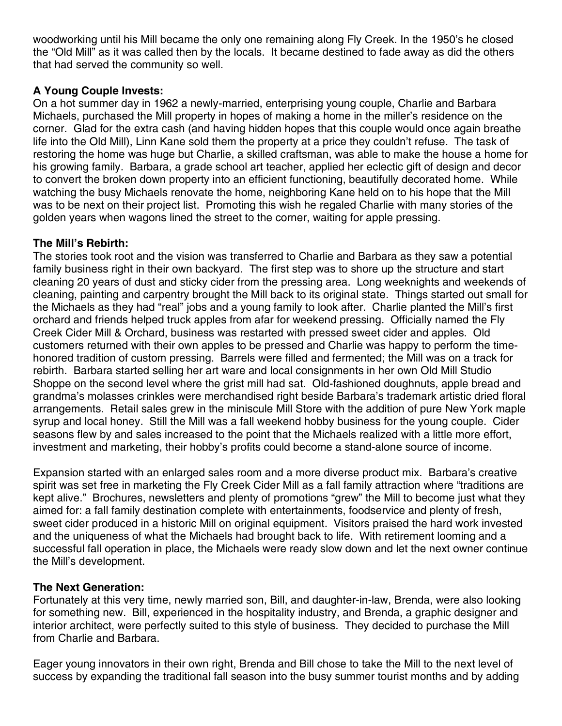woodworking until his Mill became the only one remaining along Fly Creek. In the 1950's he closed the "Old Mill" as it was called then by the locals. It became destined to fade away as did the others that had served the community so well.

## A Young Couple Invests:

On a hot summer day in 1962 a newly-married, enterprising young couple, Charlie and Barbara Michaels, purchased the Mill property in hopes of making a home in the miller's residence on the corner. Glad for the extra cash (and having hidden hopes that this couple would once again breathe life into the Old Mill), Linn Kane sold them the property at a price they couldn't refuse. The task of restoring the home was huge but Charlie, a skilled craftsman, was able to make the house a home for his growing family. Barbara, a grade school art teacher, applied her eclectic gift of design and decor to convert the broken down property into an efficient functioning, beautifully decorated home. While watching the busy Michaels renovate the home, neighboring Kane held on to his hope that the Mill was to be next on their project list. Promoting this wish he regaled Charlie with many stories of the golden years when wagons lined the street to the corner, waiting for apple pressing.

# The Mill's Rebirth:

The stories took root and the vision was transferred to Charlie and Barbara as they saw a potential family business right in their own backyard. The first step was to shore up the structure and start cleaning 20 years of dust and sticky cider from the pressing area. Long weeknights and weekends of cleaning, painting and carpentry brought the Mill back to its original state. Things started out small for the Michaels as they had "real" jobs and a young family to look after. Charlie planted the Mill's first orchard and friends helped truck apples from afar for weekend pressing. Officially named the Fly Creek Cider Mill & Orchard, business was restarted with pressed sweet cider and apples. Old customers returned with their own apples to be pressed and Charlie was happy to perform the timehonored tradition of custom pressing. Barrels were filled and fermented; the Mill was on a track for rebirth. Barbara started selling her art ware and local consignments in her own Old Mill Studio Shoppe on the second level where the grist mill had sat. Old-fashioned doughnuts, apple bread and grandma's molasses crinkles were merchandised right beside Barbara's trademark artistic dried floral arrangements. Retail sales grew in the miniscule Mill Store with the addition of pure New York maple syrup and local honey. Still the Mill was a fall weekend hobby business for the young couple. Cider seasons flew by and sales increased to the point that the Michaels realized with a little more effort, investment and marketing, their hobby's profits could become a stand-alone source of income.

Expansion started with an enlarged sales room and a more diverse product mix. Barbara's creative spirit was set free in marketing the Fly Creek Cider Mill as a fall family attraction where "traditions are kept alive." Brochures, newsletters and plenty of promotions "grew" the Mill to become just what they aimed for: a fall family destination complete with entertainments, foodservice and plenty of fresh, sweet cider produced in a historic Mill on original equipment. Visitors praised the hard work invested and the uniqueness of what the Michaels had brought back to life. With retirement looming and a successful fall operation in place, the Michaels were ready slow down and let the next owner continue the Mill's development.

### **The Next Generation:**

Fortunately at this very time, newly married son, Bill, and daughter-in-law, Brenda, were also looking for something new. Bill, experienced in the hospitality industry, and Brenda, a graphic designer and interior architect, were perfectly suited to this style of business. They decided to purchase the Mill from Charlie and Barbara.

Eager young innovators in their own right, Brenda and Bill chose to take the Mill to the next level of success by expanding the traditional fall season into the busy summer tourist months and by adding